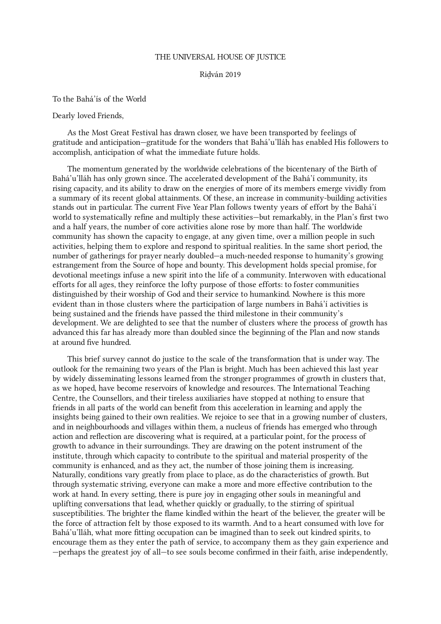## THE UNIVERSAL HOUSE OF JUSTICE

## Riḍván 2019

To the Bahá'ís of the World

Dearly loved Friends,

As the Most Great Festival has drawn closer, we have been transported by feelings of gratitude and anticipation—gratitude for the wonders that Bahá'u'lláh has enabled His followers to accomplish, anticipation of what the immediate future holds.

The momentum generated by the worldwide celebrations of the bicentenary of the Birth of Bahá'u'lláh has only grown since. The accelerated development of the Bahá'í community, its rising capacity, and its ability to draw on the energies of more of its members emerge vividly from a summary of its recent global attainments. Of these, an increase in community-building activities stands out in particular. The current Five Year Plan follows twenty years of effort by the Bahá'í world to systematically refine and multiply these activities—but remarkably, in the Plan's first two and a half years, the number of core activities alone rose by more than half. The worldwide community has shown the capacity to engage, at any given time, over a million people in such activities, helping them to explore and respond to spiritual realities. In the same short period, the number of gatherings for prayer nearly doubled—a much-needed response to humanity's growing estrangement from the Source of hope and bounty. This development holds special promise, for devotional meetings infuse a new spirit into the life of a community. Interwoven with educational efforts for all ages, they reinforce the lofty purpose of those efforts: to foster communities distinguished by their worship of God and their service to humankind. Nowhere is this more evident than in those clusters where the participation of large numbers in Bahá'í activities is being sustained and the friends have passed the third milestone in their community's development. We are delighted to see that the number of clusters where the process of growth has advanced this far has already more than doubled since the beginning of the Plan and now stands at around five hundred.

This brief survey cannot do justice to the scale of the transformation that is under way. The outlook for the remaining two years of the Plan is bright. Much has been achieved this last year by widely disseminating lessons learned from the stronger programmes of growth in clusters that, as we hoped, have become reservoirs of knowledge and resources. The International Teaching Centre, the Counsellors, and their tireless auxiliaries have stopped at nothing to ensure that friends in all parts of the world can benefit from this acceleration in learning and apply the insights being gained to their own realities. We rejoice to see that in a growing number of clusters, and in neighbourhoods and villages within them, a nucleus of friends has emerged who through action and reflection are discovering what is required, at a particular point, for the process of growth to advance in their surroundings. They are drawing on the potent instrument of the institute, through which capacity to contribute to the spiritual and material prosperity of the community is enhanced, and as they act, the number of those joining them is increasing. Naturally, conditions vary greatly from place to place, as do the characteristics of growth. But through systematic striving, everyone can make a more and more effective contribution to the work at hand. In every setting, there is pure joy in engaging other souls in meaningful and uplifting conversations that lead, whether quickly or gradually, to the stirring of spiritual susceptibilities. The brighter the flame kindled within the heart of the believer, the greater will be the force of attraction felt by those exposed to its warmth. And to a heart consumed with love for Bahá'u'lláh, what more fitting occupation can be imagined than to seek out kindred spirits, to encourage them as they enter the path of service, to accompany them as they gain experience and —perhaps the greatest joy of all—to see souls become confirmed in their faith, arise independently,